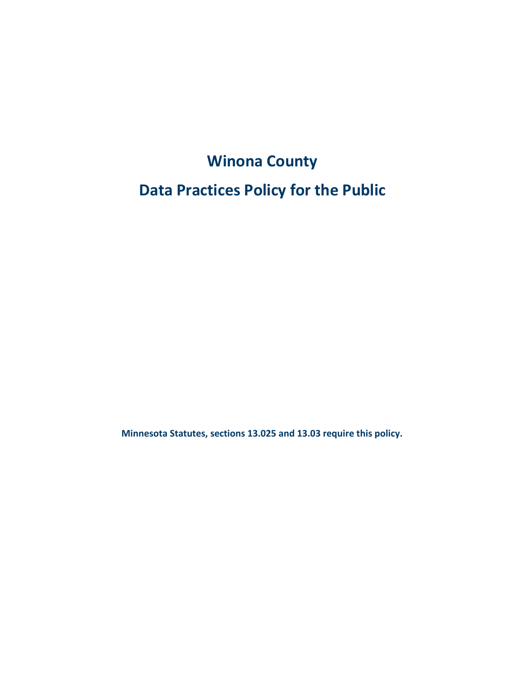# **Winona County**

## **Data Practices Policy for the Public**

**Minnesota Statutes, sections 13.025 and 13.03 require this policy.**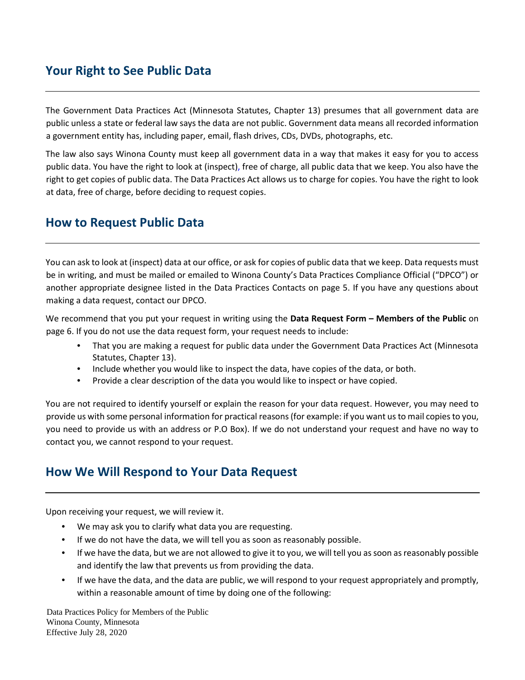## **Your Right to See Public Data**

The Government Data Practices Act (Minnesota Statutes, Chapter 13) presumes that all government data are public unless a state or federal law says the data are not public. Government data means all recorded information a government entity has, including paper, email, flash drives, CDs, DVDs, photographs, etc.

The law also says Winona County must keep all government data in a way that makes it easy for you to access public data. You have the right to look at (inspect), free of charge, all public data that we keep. You also have the right to get copies of public data. The Data Practices Act allows us to charge for copies. You have the right to look at data, free of charge, before deciding to request copies.

## **How to Request Public Data**

You can ask to look at (inspect) data at our office, or ask for copies of public data that we keep. Data requests must be in writing, and must be mailed or emailed to Winona County's Data Practices Compliance Official ("DPCO") or another appropriate designee listed in the Data Practices Contacts on page 5. If you have any questions about making a data request, contact our DPCO.

We recommend that you put your request in writing using the **Data Request Form – Members of the Public** on page 6. If you do not use the data request form, your request needs to include:

- That you are making a request for public data under the Government Data Practices Act (Minnesota Statutes, Chapter 13).
- Include whether you would like to inspect the data, have copies of the data, or both.
- Provide a clear description of the data you would like to inspect or have copied.

You are not required to identify yourself or explain the reason for your data request. However, you may need to provide us with some personal information for practical reasons (for example: if you want us to mail copies to you, you need to provide us with an address or P.O Box). If we do not understand your request and have no way to contact you, we cannot respond to your request.

### **How We Will Respond to Your Data Request**

Upon receiving your request, we will review it.

- We may ask you to clarify what data you are requesting.
- If we do not have the data, we will tell you as soon as reasonably possible.
- If we have the data, but we are not allowed to give it to you, we will tell you as soon as reasonably possible and identify the law that prevents us from providing the data.
- If we have the data, and the data are public, we will respond to your request appropriately and promptly, within a reasonable amount of time by doing one of the following:

Data Practices Policy for Members of the Public Winona County, Minnesota Effective July 28, 2020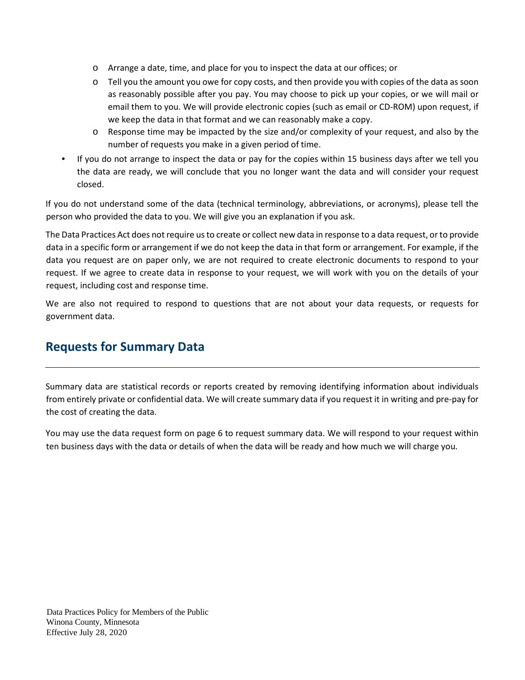- o Arrange a date, time, and place for you to inspect the data at our offices; or
- o Tell you the amount you owe for copy costs, and then provide you with copies of the data as soon as reasonably possible after you pay. You may choose to pick up your copies, or we will mail or email them to you. We will provide electronic copies (such as email or CD-ROM) upon request, if we keep the data in that format and we can reasonably make a copy.
- o Response time may be impacted by the size and/or complexity of your request, and also by the number of requests you make in a given period of time.
- If you do not arrange to inspect the data or pay for the copies within 15 business days after we tell you the data are ready, we will conclude that you no longer want the data and will consider your request closed.

If you do not understand some of the data (technical terminology, abbreviations, or acronyms), please tell the person who provided the data to you. We will give you an explanation if you ask.

The Data Practices Act does not require us to create or collect new data in response to a data request, or to provide data in a specific form or arrangement if we do not keep the data in that form or arrangement. For example, if the data you request are on paper only, we are not required to create electronic documents to respond to your request. If we agree to create data in response to your request, we will work with you on the details of your request, including cost and response time.

We are also not required to respond to questions that are not about your data requests, or requests for government data.

## **Requests for Summary Data**

Summary data are statistical records or reports created by removing identifying information about individuals from entirely private or confidential data. We will create summary data if you request it in writing and pre-pay for the cost of creating the data.

You may use the data request form on page 6 to request summary data. We will respond to your request within ten business days with the data or details of when the data will be ready and how much we will charge you.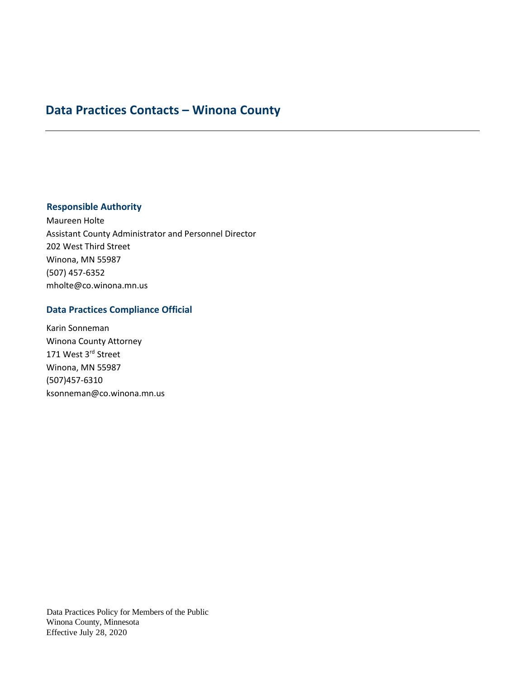## **Data Practices Contacts – Winona County**

#### **Responsible Authority**

Maureen Holte Assistant County Administrator and Personnel Director 202 West Third Street Winona, MN 55987 (507) 457-6352 mholte@co.winona.mn.us

#### **Data Practices Compliance Official**

Karin Sonneman Winona County Attorney 171 West 3rd Street Winona, MN 55987 (507)457-6310 ksonneman@co.winona.mn.us

Data Practices Policy for Members of the Public Winona County, Minnesota Effective July 28, 2020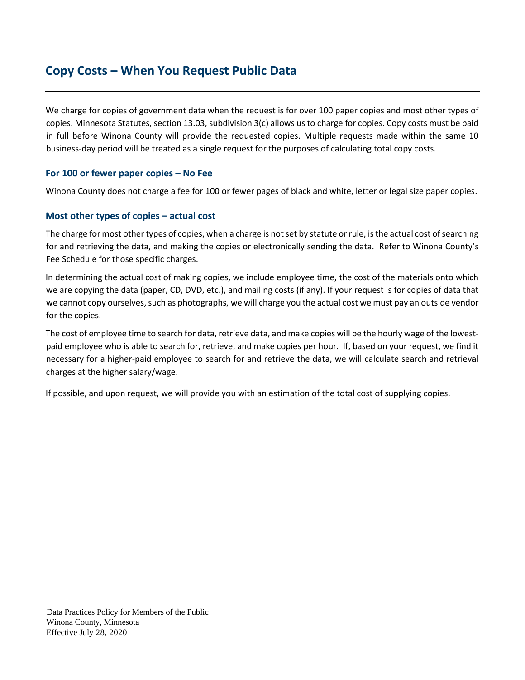## **Copy Costs – When You Request Public Data**

We charge for copies of government data when the request is for over 100 paper copies and most other types of copies. Minnesota Statutes, section 13.03, subdivision 3(c) allows us to charge for copies. Copy costs must be paid in full before Winona County will provide the requested copies. Multiple requests made within the same 10 business-day period will be treated as a single request for the purposes of calculating total copy costs.

#### **For 100 or fewer paper copies – No Fee**

Winona County does not charge a fee for 100 or fewer pages of black and white, letter or legal size paper copies.

#### **Most other types of copies – actual cost**

The charge for most other types of copies, when a charge is not set by statute or rule, is the actual cost of searching for and retrieving the data, and making the copies or electronically sending the data. Refer to Winona County's Fee Schedule for those specific charges.

In determining the actual cost of making copies, we include employee time, the cost of the materials onto which we are copying the data (paper, CD, DVD, etc.), and mailing costs (if any). If your request is for copies of data that we cannot copy ourselves, such as photographs, we will charge you the actual cost we must pay an outside vendor for the copies.

The cost of employee time to search for data, retrieve data, and make copies will be the hourly wage of the lowestpaid employee who is able to search for, retrieve, and make copies per hour. If, based on your request, we find it necessary for a higher-paid employee to search for and retrieve the data, we will calculate search and retrieval charges at the higher salary/wage.

If possible, and upon request, we will provide you with an estimation of the total cost of supplying copies.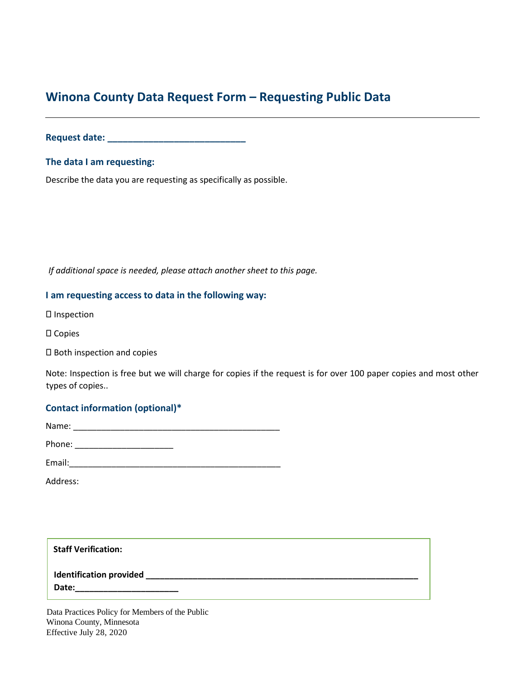## **Winona County Data Request Form – Requesting Public Data**

**Request date: \_\_\_\_\_\_\_\_\_\_\_\_\_\_\_\_\_\_\_\_\_\_\_\_\_\_\_**

**The data I am requesting:** 

Describe the data you are requesting as specifically as possible.

*If additional space is needed, please attach another sheet to this page.*

#### **I am requesting access to data in the following way:**

- Inspection
- Copies
- Both inspection and copies

Note: Inspection is free but we will charge for copies if the request is for over 100 paper copies and most other types of copies..

#### **Contact information (optional)\***

| Name:  |  |  |  |
|--------|--|--|--|
| Phone: |  |  |  |

| <b>Email</b><br>-------- |  |  |  |  |
|--------------------------|--|--|--|--|
|                          |  |  |  |  |

Address:

**Staff Verification:**

**Identification provided \_\_\_\_\_\_\_\_\_\_\_\_\_\_\_\_\_\_\_\_\_\_\_\_\_\_\_\_\_\_\_\_\_\_\_\_\_\_\_\_\_\_\_\_\_\_\_\_\_\_\_\_\_\_\_\_\_\_**

**Date:\_\_\_\_\_\_\_\_\_\_\_\_\_\_\_\_\_\_\_\_\_\_**

Data Practices Policy for Members of the Public Winona County, Minnesota Effective July 28, 2020